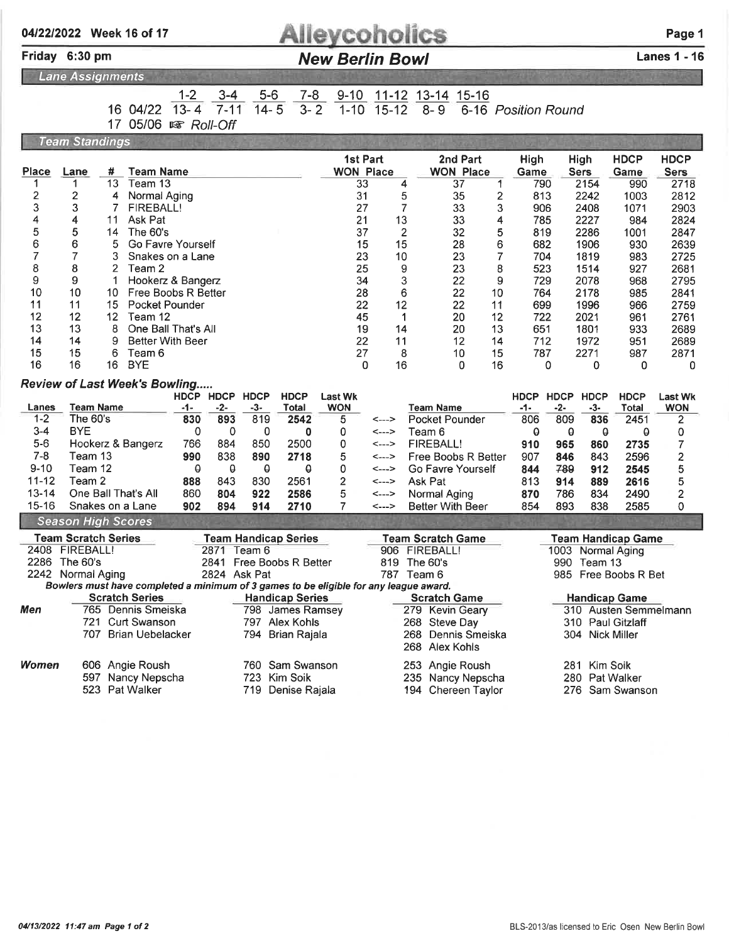## **Alleycoholics**

#### New Berlin Bowl Lanes 1 - 16

Lane Assignments

Friday 6:30 pm

## 1-2 3-4 5-6 7-8 9-10 11-12 13-14 15-16

16 04/22  $\frac{12}{13-4}$   $\frac{34}{7-11}$   $\frac{34}{14-5}$   $\frac{34}{3-2}$   $\frac{340}{1-10}$   $\frac{112}{15-12}$   $\frac{181}{8-9}$   $\frac{181}{6-16}$  Position Round

17 05/06  $\sqrt{8}$  Roll-Off

| <b>Team Standings</b>   |                                                 |                     |                                                                                       |           |          |                       |                             |                                          |                  |                           |                   |                          |                         |             |             |                   |                           |                         |
|-------------------------|-------------------------------------------------|---------------------|---------------------------------------------------------------------------------------|-----------|----------|-----------------------|-----------------------------|------------------------------------------|------------------|---------------------------|-------------------|--------------------------|-------------------------|-------------|-------------|-------------------|---------------------------|-------------------------|
|                         |                                                 |                     |                                                                                       |           |          |                       | <b>1st Part</b>             |                                          |                  | 2nd Part                  |                   | <b>High</b><br>High      |                         | <b>HDCP</b> | <b>HDCP</b> |                   |                           |                         |
| <b>Place</b>            | Lane                                            | #                   | <b>Team Name</b>                                                                      |           |          |                       |                             |                                          | <b>WON Place</b> |                           |                   | <b>WON Place</b>         |                         | Game        |             | <b>Sers</b>       | Game                      | <b>Sers</b>             |
| 1                       | 1                                               | 13                  | Team 13                                                                               |           |          |                       |                             |                                          | 33               | 4                         |                   | 37                       | 1                       | 790         |             | 2154              | 990                       | 2718                    |
| $\overline{\mathbf{c}}$ | $\overline{2}$                                  | 4                   | Normal Aging                                                                          |           |          |                       |                             |                                          | 31               | 5                         |                   | 35                       | $\overline{\mathbf{c}}$ | 813         |             | 2242              | 1003                      | 2812                    |
| 3                       | 3                                               | 7                   | FIREBALL!                                                                             |           |          |                       |                             |                                          | 27               | $\overline{7}$            |                   | 33                       | 3                       | 906         |             | 2408              | 1071                      | 2903                    |
| 4                       | 4                                               | 11                  | Ask Pat                                                                               |           |          |                       |                             |                                          | 21               | 13                        |                   | 33                       | 4                       | 785         |             | 2227              | 984                       | 2824                    |
| 5                       |                                                 | 5<br>The 60's<br>14 |                                                                                       |           |          |                       |                             |                                          | 37               | $\overline{c}$            |                   | 32                       | 5                       | 819         |             | 2286              | 1001                      | 2847                    |
| 6                       | 6<br>5<br>Go Favre Yourself                     |                     |                                                                                       |           |          |                       |                             |                                          | 15               | 15                        |                   | 28                       | 6                       | 682         |             | 1906              | 930                       | 2639                    |
| $\overline{7}$          | 7<br>3<br>Snakes on a Lane                      |                     |                                                                                       |           |          |                       |                             |                                          | 23               | 10                        |                   | 23                       | $\overline{7}$          | 704         |             | 1819              | 983                       | 2725                    |
| 8                       | 8<br>$\overline{2}$<br>Team 2                   |                     |                                                                                       |           |          |                       |                             |                                          | 25               | 9                         |                   | 23                       | 8                       | 523         |             | 1514              | 927                       | 2681                    |
| 9                       | 9<br>1<br>Hookerz & Bangerz                     |                     |                                                                                       |           |          |                       |                             |                                          | 34               | 3                         |                   | 22                       | 9                       | 729         |             | 2078              | 968                       | 2795                    |
| 10                      | 10<br>Free Boobs R Better<br>10                 |                     |                                                                                       |           |          |                       |                             |                                          | 28               | 6                         |                   | 22                       | 10                      | 764         |             | 2178              | 985                       | 2841                    |
| 11                      | 11                                              | 15                  | <b>Pocket Pounder</b>                                                                 |           |          |                       |                             |                                          | 22               | 12                        |                   | 22                       | 11                      | 699         |             | 1996              | 966                       | 2759                    |
| 12                      | 12                                              | 12                  | Team 12                                                                               |           |          |                       |                             |                                          | 45               | $\mathbf 1$               |                   | 20                       | 12                      | 722         |             | 2021              | 961                       | 2761                    |
| 13                      | 13                                              | 8                   | One Ball That's All                                                                   |           |          |                       |                             |                                          | 19               | 14                        |                   | 20                       | 13                      | 651         |             | 1801              | 933                       | 2689                    |
| 14                      | 14<br>9<br><b>Better With Beer</b>              |                     |                                                                                       |           |          |                       |                             | 22                                       | 11               |                           | 12                | 14                       | 712                     |             | 1972        | 951               | 2689                      |                         |
| 15                      | 15                                              | 6                   | Team 6                                                                                |           |          |                       |                             |                                          | 27               | 8                         |                   | 10                       | 15                      | 787         |             | 2271              | 987                       | 2871                    |
| 16                      | 16                                              | 16                  | <b>BYE</b>                                                                            |           |          |                       |                             |                                          | 0                | 16                        |                   | 0                        | 16                      |             | 0           | 0                 | 0                         | 0                       |
|                         |                                                 |                     | <b>Review of Last Week's Bowling</b>                                                  |           |          |                       |                             |                                          |                  |                           |                   |                          |                         |             |             |                   |                           |                         |
|                         |                                                 |                     |                                                                                       | HDCP HDCP |          | <b>HDCP</b>           | <b>HDCP</b>                 | <b>Last Wk</b>                           |                  |                           |                   |                          |                         | <b>HDCP</b> | <b>HDCP</b> | <b>HDCP</b>       | <b>HDCP</b>               | <b>Last Wk</b>          |
| Lanes                   | <b>Team Name</b>                                |                     |                                                                                       | -1-       | -2-      | -3-                   | Total                       | <b>WON</b>                               |                  |                           |                   | <b>Team Name</b>         |                         | -1-         | -2-         | $-3-$             | <b>Total</b>              | <b>WON</b>              |
| $1-2$                   | The 60's                                        |                     |                                                                                       | 830       | 893      | 819                   | 2542                        | 5                                        | <--->            |                           |                   | <b>Pocket Pounder</b>    |                         | 806         | 809         | 836               | 2451                      | 2                       |
| $3 - 4$                 | <b>BYE</b>                                      |                     |                                                                                       | 0         | 0        | 0                     | 0                           | 0                                        | <--->            |                           | Team 6            |                          |                         | θ           | θ           | $\theta$          | $\theta$                  | 0                       |
| $5-6$                   | Hookerz & Bangerz                               |                     |                                                                                       | 766       | 884      | 850                   | 2500                        | 0                                        |                  | <b>FIREBALL!</b><br><---> |                   | 910                      | 965                     | 860         | 2735        | 7                 |                           |                         |
| $7 - 8$                 | Team 13                                         |                     |                                                                                       | 990       | 838      | 890                   | 2718                        | 5                                        |                  | <--->                     |                   | Free Boobs R Better      |                         | 907         | 846         | 843               | 2596                      | $\overline{\mathbf{c}}$ |
| $9 - 10$                | Team 12                                         |                     |                                                                                       | θ         | $\theta$ | $\boldsymbol{\Theta}$ | $\theta$                    | 0                                        | <--->            |                           | Go Favre Yourself |                          |                         | 844         | 789         | 912               | 2545                      | 5                       |
| $11 - 12$               | Team 2                                          |                     |                                                                                       | 888       | 843      | 830                   | 2561                        | 2                                        | <--->            |                           | Ask Pat           |                          |                         | 813         | 914         | 889               | 2616                      | 5                       |
| $13 - 14$               |                                                 |                     | One Ball That's All                                                                   | 860       | 804      | 922                   | 2586                        | 5                                        | <--->            |                           |                   | Normal Aging             |                         | 870         | 786         | 834               | 2490                      | $\overline{\mathbf{c}}$ |
| $15 - 16$               |                                                 |                     | Snakes on a Lane                                                                      | 902       | 894      | 914                   | 2710                        | 7                                        | <--->            |                           |                   | <b>Better With Beer</b>  |                         | 854         | 893         | 838               | 2585                      | 0                       |
|                         | <b>Season High Scores</b>                       |                     |                                                                                       |           |          |                       |                             |                                          |                  |                           |                   |                          |                         |             |             |                   |                           |                         |
|                         | <b>Team Scratch Series</b>                      |                     |                                                                                       |           |          |                       | <b>Team Handicap Series</b> |                                          |                  |                           |                   | <b>Team Scratch Game</b> |                         |             |             |                   | <b>Team Handicap Game</b> |                         |
|                         | 2408 FIREBALL!                                  |                     |                                                                                       |           |          | 2871 Team 6           |                             |                                          |                  | 906                       |                   | <b>FIREBALL!</b>         |                         |             |             | 1003 Normal Aging |                           |                         |
|                         | 2286 The 60's                                   |                     |                                                                                       |           |          |                       | 2841 Free Boobs R Better    |                                          |                  | 819                       | The 60's          |                          |                         |             | 990         | Team 13           |                           |                         |
|                         | 2242 Normal Aging                               |                     |                                                                                       |           |          | 2824 Ask Pat          |                             |                                          |                  |                           | 787 Team 6        |                          |                         |             |             |                   | 985 Free Boobs R Bet      |                         |
|                         |                                                 |                     | Bowlers must have completed a minimum of 3 games to be eligible for any league award. |           |          |                       |                             |                                          |                  |                           |                   |                          |                         |             |             |                   |                           |                         |
|                         |                                                 |                     | <b>Scratch Series</b>                                                                 |           |          |                       | <b>Handicap Series</b>      |                                          |                  |                           |                   | <b>Scratch Game</b>      |                         |             |             |                   | <b>Handicap Game</b>      |                         |
| Men                     |                                                 |                     | 765 Dennis Smeiska                                                                    |           |          |                       | 798 James Ramsey            |                                          |                  |                           |                   | 279 Kevin Geary          |                         |             |             |                   | 310 Austen Semmelmann     |                         |
|                         | 721<br><b>Curt Swanson</b><br>797<br>Alex Kohls |                     |                                                                                       |           |          |                       | 268<br>Steve Day            |                                          |                  |                           |                   |                          | 310 Paul Gitzlaff       |             |             |                   |                           |                         |
|                         | 707 Brian Uebelacker<br>794 Brian Rajala        |                     |                                                                                       |           |          |                       |                             | 268<br>Dennis Smeiska<br>304 Nick Miller |                  |                           |                   |                          |                         |             |             |                   |                           |                         |
|                         |                                                 |                     |                                                                                       |           |          |                       |                             |                                          |                  |                           | 268               | Alex Kohls               |                         |             |             |                   |                           |                         |
| Women                   | 606                                             |                     | Angie Roush                                                                           |           |          | 760                   | Sam Swanson                 |                                          |                  |                           | 253               | Angie Roush              |                         |             |             | 281 Kim Soik      |                           |                         |
|                         | Nancy Nepscha<br>Kim Soik<br>723<br>597.        |                     |                                                                                       |           |          |                       | 235 Nancy Nepscha           |                                          |                  |                           | 280 Pat Walker    |                          |                         |             |             |                   |                           |                         |
|                         | 523 Pat Walker<br>719<br>Denise Rajala          |                     |                                                                                       |           |          | 194 Chereen Taylor    |                             |                                          |                  |                           |                   | 276                      |                         | Sam Swanson |             |                   |                           |                         |